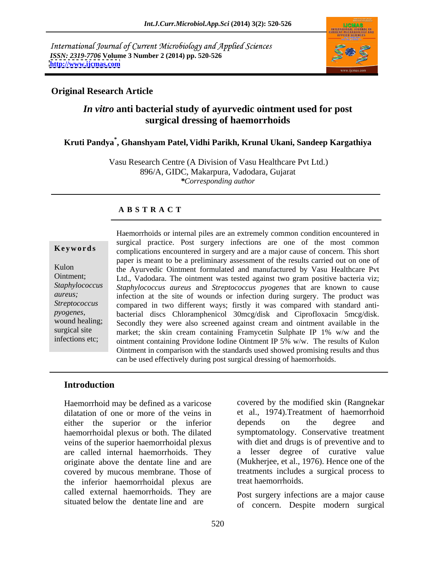International Journal of Current Microbiology and Applied Sciences *ISSN: 2319-7706* **Volume 3 Number 2 (2014) pp. 520-526 <http://www.ijcmas.com>**



### **Original Research Article**

# *In vitro* **anti bacterial study of ayurvedic ointment used for post surgical dressing of haemorrhoids**

### **Kruti Pandya\* , Ghanshyam Patel, Vidhi Parikh, Krunal Ukani, Sandeep Kargathiya**

Vasu Research Centre (A Division of Vasu Healthcare Pvt Ltd.) 896/A, GIDC, Makarpura, Vadodara, Gujarat *\*Corresponding author*

### **A B S T R A C T**

**Keywords** complications encountered in surgery and are a major cause of concern. This short Kulon the Ayurvedic Ointment formulated and manufactured by Vasu Healthcare Pvt Ointment; Ltd., Vadodara. The ointment was tested against two gram positive bacteria viz; *Staphylococcus Staphylococcus aureus* and *Streptococcus pyogenes* that are known to cause *aureus*; infection at the site of wounds or infection during surgery. The product was Streptococcus compared in two different ways; firstly it was compared with standard anti*pyogenes,*  bacterial discs Chloramphenicol 30mcg/disk and Ciprofloxacin 5mcg/disk. wound healing; Secondly they were also screened against cream and ointment available in the surgical site market; the skin cream containing Framycetin Sulphate IP 1% w/w and the infections etc; ointment containing Providone Iodine Ointment IP 5% w/w. The results of Kulon Haemorrhoids or internal piles are an extremely common condition encountered in surgical practice. Post surgery infections are one of the most common paper is meant to be a preliminary assessment of the results carried out on one of Ointment in comparison with the standards used showed promising results and thus can be used effectively during post surgical dressing of haemorrhoids.

### **Introduction**

Haemorrhoid may be defined as a varicose dilatation of one or more of the veins in either the superior or the inferior depends on the degree and haemorrhoidal plexus or both. The dilated veins of the superior haemorrhoidal plexus are called internal haemorrhoids. They originate above the dentate line and are covered by mucous membrane. Those of the inferior haemorrhoidal plexus are called external haemorrhoids. They are situated below the dentate line and are

covered by the modified skin (Rangnekar et al., 1974).Treatment of haemorrhoid depends on the degree and symptomatology. Conservative treatment with diet and drugs is of preventive and to lesser degree of curative value (Mukherjee, et al., 1976). Hence one of the treatments includes a surgical process to treat haemorrhoids.

Post surgery infections are a major cause of concern. Despite modern surgical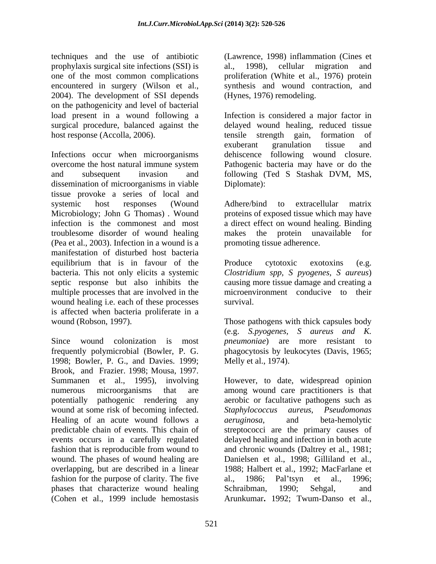techniques and the use of antibiotic prophylaxis surgical site infections (SSI) is one of the most common complications proliferation (White et al., 1976) protein encountered in surgery (Wilson et al., synthesis and wound contraction, and 2004). The development of SSI depends on the pathogenicity and level of bacterial host response (Accolla, 2006). The tensile strength gain, formation of

Infections occur when microorganisms dehiscence following wound closure. overcome the host natural immune system Pathogenic bacteria may have or do the and subsequent invasion and following (Ted S Stashak DVM, MS, dissemination of microorganisms in viable Diplomate): tissue provoke a series of local and systemic host responses (Wound Adhere/bind to extracellular matrix Microbiology; John G Thomas) . Wound proteins of exposed tissue which may have infection is the commonest and most a direct effect on wound healing. Binding troublesome disorder of wound healing (Pea et al., 2003). Infection in a wound is a manifestation of disturbed host bacteria equilibrium that is in favour of the Produce cytotoxic exotoxins (e.g. bacteria. This not only elicits a systemic *Clostridium spp, S pyogenes, S aureus*) septic response but also inhibits the causing more tissue damage and creating a multiple processes that are involved in the wound healing i.e. each of these processes survival. is affected when bacteria proliferate in a wound (Robson, 1997). Those pathogens with thick capsules body

Since wound colonization is most *pneumoniae*) are more resistant to frequently polymicrobial (Bowler, P. G. phagocytosis by leukocytes (Davis, 1965; 1998; Bowler, P. G., and Davies. 1999; Brook, and Frazier. 1998; Mousa, 1997. Summanen et al., 1995), involving However, to date, widespread opinion numerous microorganisms that are among wound care practitioners is that potentially pathogenic rendering any aerobic or facultative pathogens such as wound at some risk of becoming infected. Staphylococcus aureus, Pseudomonas Healing of an acute wound follows a *aeruginosa*, and beta-hemolytic predictable chain of events. This chain of streptococci are the primary causes of events occurs in a carefully regulated delayed healing and infection in both acute fashion that is reproducible from wound to and chronic wounds (Daltrey et al., 1981; wound. The phases of wound healing are overlapping, but are described in a linear 1988; Halbert et al., 1992; MacFarlane et fashion for the purpose of clarity. The five al., 1986; Pal'tsyn et al., 1996; phases that characterize wound healing Schraibman, 1990; Sehgal, and (Cohen et al., 1999 include hemostasis

(Lawrence, 1998) inflammation (Cines et al., 1998), cellular migration and (Hynes, 1976) remodeling.

load present in a wound following a Infection is considered a major factor in surgical procedure, balanced against the delayed wound healing, reduced tissue tensile strength gain, formation of exuberant granulation tissue and Diplomate):

> Adhere/bind to extracellular matrix makes the protein unavailable promoting tissue adherence.

Produce cytotoxic exotoxins (e.g. microenvironment conducive to their survival.

(e.g. *S.pyogenes, S aureus and K.* Melly et al., 1974).

*Staphylococcus aureus*. *aeruginosa*, and beta-hemolytic Danielsen et al., 1998; Gilliland et al., 1986; Pal'tsyn et al., Schraibman, 1990; Sehgal, and Arunkumar**.** 1992; Twum-Danso et al.,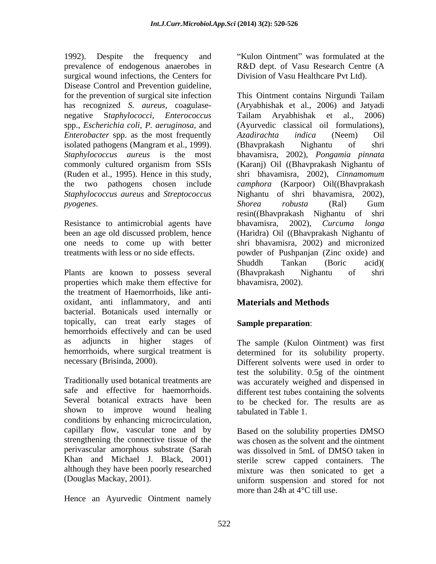1992). Despite the frequency and "Kulon Ointment" was formulated at the prevalence of endogenous anaerobes in R&D dept. of Vasu Research Centre (A surgical wound infections, the Centers for Disease Control and Prevention guideline,<br>for the prevention of surgical site infection This Ointment contains Nirgundi Tailam negative S*taphylococci*, *Enterococcus* spp., *Escherichia coli*, *P. aeruginosa*, and *Enterobacter* spp. as the most frequently *Azadirachta indica* (Neem) Oil isolated pathogens (Mangram et al., 1999). (Bhavprakash Nighantu of shri *Staphylococcus aureus* is the most *Staphylococcus aureus* and *Streptococcus* 

been an age old discussed problem, hence

Plants are known to possess several (Bhavprakash Nighantu of shri properties which make them effective for the treatment of Haemorrhoids, like anti oxidant, anti inflammatory, and anti bacterial. Botanicals used internally or topically, can treat early stages of hemorrhoids effectively and can be used as adjuncts in higher stages of The sample (Kulon Ointment) was first hemorrhoids, where surgical treatment is determined for its solubility property.

Traditionally used botanical treatments are safe and effective for haemorrhoids. different test tubes containing the solvents Several botanical extracts have been to be checked for. The results are as shown to improve wound healing conditions by enhancing microcirculation, capillary flow, vascular tone and by Khan and Michael J. Black, 2001) although they have been poorly researched

Hence an Ayurvedic Ointment namely

Division of Vasu Healthcare Pvt Ltd).

has recognized *S. aureus*, coagulase- (Aryabhishak et al., 2006) and Jatyadi commonly cultured organism from SSIs (Karanj) Oil ((Bhavprakash Nighantu of (Ruden et al., 1995). Hence in this study, shri bhavamisra, 2002), *Cinnamomum*  the two pathogens chosen include *camphora* (Karpoor) Oil((Bhavprakash *pyogenes.* Shorea robusta (Ral) Gum<br>resin((Bhavprakash Nighantu of shri<br>Resistance to antimicrobial agents have bhavamisra, 2002), *Curcuma longa* one needs to come up with better shri bhavamisra, 2002) and micronized treatments with less or no side effects. powder of Pushpanjan (Zinc oxide) and This Ointment contains Nirgundi Tailam Tailam Aryabhishak et al., 2006) (Ayurvedic classical oil formulations), *Azadirachta indica* (Neem) Oil (Bhavprakash Nighantu of shri bhavamisra, 2002), *Pongamia pinnata* Nighantu of shri bhavamisra, 2002), *Shorea robusta* (Ral) Gum resin((Bhavprakash Nighantu of shri bhavamisra, 2002), *Curcuma longa* (Haridra) Oil ((Bhavprakash Nighantu of Shuddh Tankan (Boric acid)( (Bhavprakash Nighantu of shri bhavamisra, 2002).

## **Materials and Methods**

### **Sample preparation**:

necessary (Brisinda, 2000). Different solvents were used in order to test the solubility. 0.5g of the ointment was accurately weighed and dispensed in tabulated in Table 1.

strengthening the connective tissue of the was chosen as the solvent and the ointment perivascular amorphous substrate (Sarah was dissolved in 5mL of DMSO taken in (Douglas Mackay, 2001). uniform suspension and stored for not Based on the solubility properties DMSO sterile screw capped containers. The mixture was then sonicated to get a more than 24h at 4°C till use.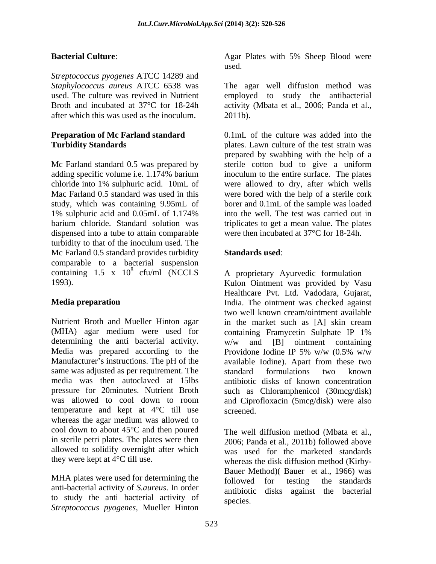*Streptococcus pyogenes* ATCC 14289 and *Staphylococcus aureus* ATCC 6538 was The agar well diffusion method was used. The culture was revived in Nutrient employed to study the antibacterial Broth and incubated at 37°C for 18-24h activity (Mbata et al., 2006; Panda et al., after which this was used as the inoculum.

# **Preparation of Mc Farland standard**

dispensed into a tube to attain comparable turbidity to that of the inoculum used. The Mc Farland 0.5 standard provides turbidity **Standards used:** comparable to a bacterial suspension<br>containing  $1.5 \times 10^8$  cfu/ml (NCCLS containing 1.5 x  $10^8$  cfu/ml (NCCLS A proprietary Ayurvedic formulation  $-$ 

Nutrient Broth and Mueller Hinton agar in the market such as [A] skin cream (MHA) agar medium were used for containing Framycetin Sulphate IP 1% determining the anti bacterial activity. w/w and [B] ointment containing Media was prepared according to the Providone Iodine IP 5% w/w  $(0.5\% \text{ w/w})$ Manufacturer's instructions. The pH of the available Iodine). Apart from these two same was adjusted as per requirement. The standard formulations two known media was then autoclaved at 15lbs antibiotic disks of known concentration pressure for 20minutes. Nutrient Broth such as Chloramphenicol (30mcg/disk) was allowed to cool down to room and Ciprofloxacin (5mcg/disk) were also temperature and kept at 4°C till use whereas the agar medium was allowed to cool down to about 45°C and then poured The well diffusion method (Mbata et al., in sterile petri plates. The plates were then 2006; Panda et al., 2011b) followed above allowed to solidify overnight after which

MHA plates were used for determining the followed for testing the standards anti-bacterial activity of *S.aureus*. In order to study the anti bacterial activity of *Streptococcus pyogenes*, Mueller Hinton

**Bacterial Culture**: Agar Plates with 5% Sheep Blood were used. The contract of the contract of the contract of the contract of the contract of the contract of the contract of the contract of the contract of the contract of the contract of the contract of the contract of the cont

2011b).

**Turbidity Standards plates.** Lawn culture of the test strain was Mc Farland standard 0.5 was prepared by sterile cotton bud to give a uniform adding specific volume i.e. 1.174% barium inoculum to the entire surface. The plates chloride into 1% sulphuric acid. 10mL of were allowed to dry, after which wells Mac Farland 0.5 standard was used in this were bored with the help of a sterile cork study, which was containing 9.95mL of borer and 0.1mL of the sample was loaded 1% sulphuric acid and 0.05mL of 1.174% barium chloride. Standard solution was triplicates to get a mean value. The plates 0.1mL of the culture was added into the prepared by swabbing with the help of a into the well. The test was carried out in were then incubated at 37°C for 18-24h.

### **Standards used**:

1993). Kulon Ointment was provided by Vasu **Media preparation** India. The ointment was checked against Healthcare Pvt. Ltd. Vadodara, Gujarat, two well known cream/ointment available in the market such as [A] skin cream containing Framycetin Sulphate IP 1% w/w and [B] ointment containing Providone Iodine IP 5% w/w (0.5% w/w standard formulations two known screened.

they were kept at 4°C till use. whereas the disk diffusion method (Kirby was used for the marketed standards Bauer Method)( Bauer et al., 1966) was followed for testing the standards antibiotic disks against the bacterial species.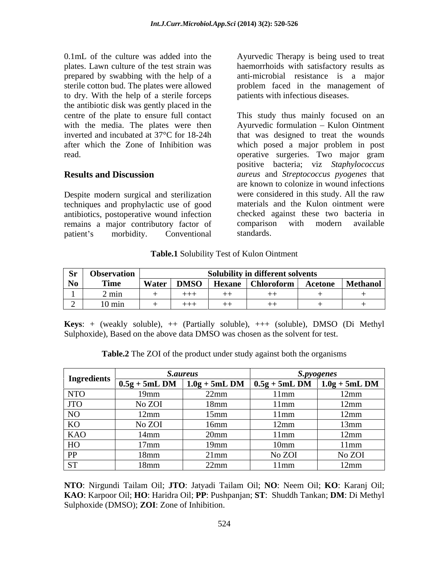0.1mL of the culture was added into the Ayurvedic Therapy is being used to treat plates. Lawn culture of the test strain was haemorrhoids with satisfactory results as prepared by swabbing with the help of a sterile cotton bud. The plates were allowed problem faced in the management of to dry. With the help of a sterile forceps the antibiotic disk was gently placed in the

Despite modern surgical and sterilization techniques and prophylactic use of good antibiotics, postoperative wound infection<br>
end checked against these two bacteria in<br>
remains a major contributory factor of comparison with modern available remains a major contributory factor of compariso<br>
nation's morbidity Conventional standards. patient's morbidity. Conventional standards.

anti-microbial resistance is a major patients with infectious diseases.

centre of the plate to ensure full contact This study thus mainly focused on an with the media. The plates were then Ayurvedic formulation – Kulon Ointment inverted and incubated at 37°C for 18-24h that was designed to treat the wounds after which the Zone of Inhibition was which posed a major problem in post read. operative surgeries. Two major gram **Results and Discussion** *aureus* and *Streptococcus pyogenes* that positive bacteria; viz *Staphylococcus*  are known to colonize in wound infections were considered in this study. All the raw materials and the Kulon ointment were checked against these two bacteria in comparison with modern available standards.

**Table.1** Solubility Test of Kulon Ointment

| $\sum_{i=1}^{n}$ | $\sim$ $-$<br><b>Observation</b> |       |             |             | <b>Solubility in different solvents</b> |                                   |          |
|------------------|----------------------------------|-------|-------------|-------------|-----------------------------------------|-----------------------------------|----------|
| No 1             | <b>Time</b>                      | Water | <b>DMSO</b> | <b>Hexa</b> | raform<br><b>Unioroform</b>             | $\Lambda$ cotons<br>$\frac{1}{2}$ | Methanol |
|                  | $\omega$ mun                     |       | .           | $++$        |                                         |                                   |          |
|                  | $10 \text{ mi}$<br>______        |       |             | $^{++}$     |                                         |                                   |          |

**Keys**: + (weakly soluble), ++ (Partially soluble), +++ (soluble), DMSO (Di Methyl Sulphoxide), Based on the above data DMSO was chosen as the solvent for test.

| <b>Table.2</b> The ZOI of the product under study against both the organisms |
|------------------------------------------------------------------------------|
|------------------------------------------------------------------------------|

| Ingredients |         |                  |                     |                                                                                  |
|-------------|---------|------------------|---------------------|----------------------------------------------------------------------------------|
|             |         |                  |                     | $\boxed{0.5g + 5mL DM \mid 1.0g + 5mL DM \mid 0.5g + 5mL DM \mid 1.0g + 5mL DM}$ |
| NTO         | 10mm    | 22mm             | <u>Imm</u>          | l 2mm                                                                            |
| JTO         | No ZOI  | 18mm             | $11$ mm             | $^{\prime}$ m                                                                    |
|             | 12mm    | $15$ mm          | l 1 mm              | $12 \text{mm}$                                                                   |
| KU.         | No ZOI  | 16 <sub>mm</sub> |                     |                                                                                  |
| KAO         |         |                  |                     |                                                                                  |
|             | $17$ mm | 19mm             | 10mm<br>1 V J I I I | 11mm                                                                             |
|             | 18mm    |                  | No ZOI              | No ZOI                                                                           |
|             |         |                  |                     |                                                                                  |

**NTO**: Nirgundi Tailam Oil; **JTO**: Jatyadi Tailam Oil; **NO**: Neem Oil; **KO**: Karanj Oil; **KAO**: Karpoor Oil; **HO**: Haridra Oil; **PP**: Pushpanjan; **ST**: Shuddh Tankan; **DM**: Di Methyl Sulphoxide (DMSO); **ZOI**: Zone of Inhibition.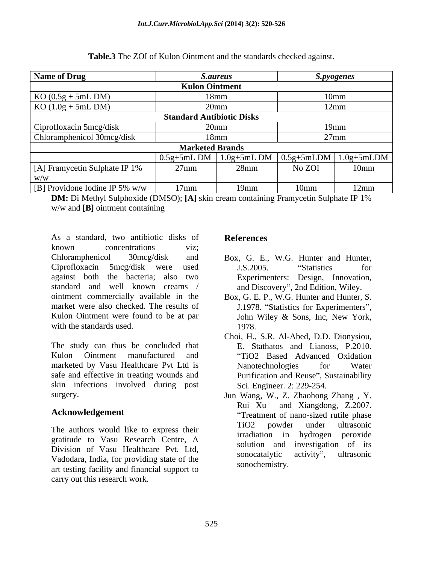| Name of Drug                                                  | <i>S.aureus</i>                                                                         |         | <i>S.pyogenes</i> |                |
|---------------------------------------------------------------|-----------------------------------------------------------------------------------------|---------|-------------------|----------------|
|                                                               | <b>Kulon Ointment</b>                                                                   |         |                   |                |
|                                                               |                                                                                         | 18mm    |                   |                |
| $\frac{\text{KO} (0.5g + 5mL DM)}{\text{KO} (1.0g + 5mL DM)}$ |                                                                                         | 20mm    | 12mm              |                |
|                                                               | <b>Standard Antibiotic Disks</b>                                                        |         |                   |                |
| Ciprofloxacin 5mcg/disk                                       | 20mm                                                                                    |         |                   |                |
| Chloramphenicol 30mcg/disk                                    | 18mm                                                                                    |         |                   | '/mm           |
|                                                               | <b>Marketed Brands</b>                                                                  |         |                   |                |
|                                                               | $\frac{1}{2}$ 0.5g+5mL DM $\left[$ 1.0g+5mL DM $\left[$ 0.5g+5mLDM $\right]$ 1.0g+5mLDM |         |                   |                |
| [A] Framycetin Sulphate IP 1%                                 | $27$ mm                                                                                 | 28mm    | No ZOI            | $10$ mm        |
|                                                               |                                                                                         |         |                   |                |
| [B] Providone Iodine IP 5% $w/w$                              | $17$ mm                                                                                 | $19$ mm | 10mm              | $12 \text{mm}$ |

**Table.3** The ZOI of Kulon Ointment and the standards checked against.

**DM:** Di Methyl Sulphoxide (DMSO); [A] skin cream containing Framycetin Sulphate IP 1% w/w and **[B]** ointment containing

As a standard, two antibiotic disks of **References** known concentrations viz; Chloramphenicol 30mcg/disk and Box, G. E., W.G. Hunter and Hunter, Ciprofloxacin 5mcg/disk were used against both the bacteria; also two standard and well known creams / and Discovery", 2nd Edition, Wiley. ointment commercially available in the Box, G. E. P., W.G. Hunter and Hunter, S. market were also checked. The results of J.1978. "Statistics for Experimenters", Kulon Ointment were found to be at par John Wiley & Sons, Inc, New York, As a standard, two amibiotic disks of<br>
Known concentrations<br>
Chloramphenicol 30mcg/disk and Box, G. E., W.G. Hunter and Hunter,<br>
Chloramphenicol 30mcg/disk were used<br>
against both the bacteria; also two Experimenters: Desi

Kulon Ointment manufactured and "TiO2 Based Advanced Oxidation marketed by Vasu Healthcare Pvt Ltd is Nanotechnologies for Water safe and effective in treating wounds and **Purification and Reuse**", Sustainability skin infections involved during post

gratitude to Vasu Research Centre, A Division of Vasu Healthcare Pvt. Ltd,<br>Sonocatalytic activity", ultrasonic Vadodara, India, for providing state of the art testing facility and financial support to

- J.S.2005. "Statistics for Experimenters: Design, Innovation,
- 1978.
- with the standards used.<br>
The study can thus be concluded that The study can thus be concluded that The Stathatos and Lianoss, P.2010. Choi, H., S.R. Al-Abed, D.D. Dionysiou, E. Stathatos and Lianoss, P.2010. Nanotechnologies for Water Sci. Engineer. 2: 229-254.
- surgery. Jun Wang, W., Z. Zhaohong Zhang , Y. **Acknowledgement Treatment CONSCRIPTION CONSCRIPTION CONSCRIPTION CONSCRIPTION CONSCRIPTION CONSCRIPTION CONSCRIPTION CONSCRIPTION CONSCRIPTION CONSCRIPTION CONSCRIPTION CONSCRIPTION** The authors would like to express their  $\frac{\text{TiO2}}{\text{Li}_\text{tot}}$  powder under ultrasonic Rui Xu and Xiangdong, Z.2007. TiO2 powder under ultrasonic irradiation in hydrogen peroxide solution and investigation of its sonocatalytic activity", ultrasonic sonochemistry.